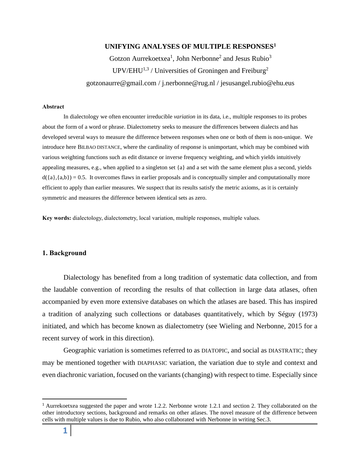# **UNIFYING ANALYSES OF MULTIPLE RESPONSES<sup>1</sup>**

# Gotzon Aurrekoetxea<sup>1</sup>, John Nerbonne<sup>2</sup> and Jesus Rubio<sup>3</sup>  $UPV/EHU^{1,3}$  / Universities of Groningen and Freiburg<sup>2</sup> gotzonaurre@gmail.com / j.nerbonne@rug.nl / jesusangel.rubio@ehu.eus

#### **Abstract**

In dialectology we often encounter irreducible *variation* in its data, i.e., multiple responses to its probes about the form of a word or phrase. Dialectometry seeks to measure the differences between dialects and has developed several ways to measure the difference between responses when one or both of them is non-unique. We introduce here BILBAO DISTANCE, where the cardinality of response is unimportant, which may be combined with various weighting functions such as edit distance or inverse frequency weighting, and which yields intuitively appealing measures, e.g., when applied to a singleton set {a} and a set with the same element plus a second, yields  $d({a},({a},b)) = 0.5$ . It overcomes flaws in earlier proposals and is conceptually simpler and computationally more efficient to apply than earlier measures. We suspect that its results satisfy the metric axioms, as it is certainly symmetric and measures the difference between identical sets as zero.

**Key words:** dialectology, dialectometry, local variation, multiple responses, multiple values.

#### **1. Background**

Dialectology has benefited from a long tradition of systematic data collection, and from the laudable convention of recording the results of that collection in large data atlases, often accompanied by even more extensive databases on which the atlases are based. This has inspired a tradition of analyzing such collections or databases quantitatively, which by Séguy (1973) initiated, and which has become known as dialectometry (see Wieling and Nerbonne, 2015 for a recent survey of work in this direction).

Geographic variation is sometimes referred to as DIATOPIC, and social as DIASTRATIC; they may be mentioned together with DIAPHASIC variation, the variation due to style and context and even diachronic variation, focused on the variants (changing) with respect to time. Especially since

<sup>1</sup> Aurrekoetxea suggested the paper and wrote 1.2.2. Nerbonne wrote 1.2.1 and section 2. They collaborated on the other introductory sections, background and remarks on other atlases. The novel measure of the difference between cells with multiple values is due to Rubio, who also collaborated with Nerbonne in writing Sec.3.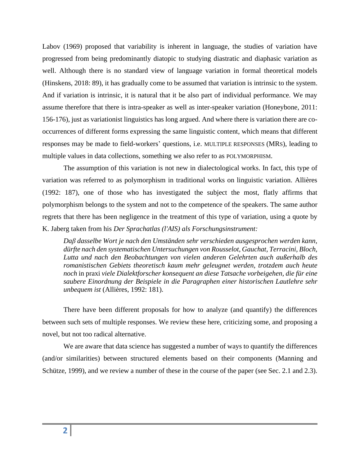Labov (1969) proposed that variability is inherent in language, the studies of variation have progressed from being predominantly diatopic to studying diastratic and diaphasic variation as well. Although there is no standard view of language variation in formal theoretical models (Hinskens, 2018: 89), it has gradually come to be assumed that variation is intrinsic to the system. And if variation is intrinsic, it is natural that it be also part of individual performance. We may assume therefore that there is intra-speaker as well as inter-speaker variation (Honeybone, 2011: 156-176), just as variationist linguistics has long argued. And where there is variation there are cooccurrences of different forms expressing the same linguistic content, which means that different responses may be made to field-workers' questions, i.e. MULTIPLE RESPONSES (MRS), leading to multiple values in data collections, something we also refer to as POLYMORPHISM.

The assumption of this variation is not new in dialectological works. In fact, this type of variation was referred to as polymorphism in traditional works on linguistic variation. Allières (1992: 187), one of those who has investigated the subject the most, flatly affirms that polymorphism belongs to the system and not to the competence of the speakers. The same author regrets that there has been negligence in the treatment of this type of variation, using a quote by K. Jaberg taken from his *Der Sprachatlas (l'AIS) als Forschungsinstrument:*

*Daβ dasselbe Wort je nach den Umständen sehr verschieden ausgesprochen werden kann, dürfte nach den systematischen Untersuchungen von Rousselot, Gauchat, Terracini, Bloch, Lutta und nach den Beobachtungen von vielen anderen Gelehrten auch außerhalb des romanistischen Gebiets theoretisch kaum mehr geleugnet werden, trotzdem auch heute noch* in praxi *viele Dialektforscher konsequent an diese Tatsache vorbeigehen, die für eine saubere Einordnung der Beispiele in die Paragraphen einer historischen Lautlehre sehr unbequem ist* (Allières, 1992: 181).

There have been different proposals for how to analyze (and quantify) the differences between such sets of multiple responses. We review these here, criticizing some, and proposing a novel, but not too radical alternative.

We are aware that data science has suggested a number of ways to quantify the differences (and/or similarities) between structured elements based on their components (Manning and Schütze, 1999), and we review a number of these in the course of the paper (see Sec. 2.1 and 2.3).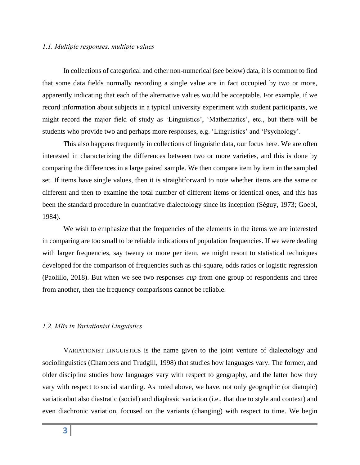### *1.1. Multiple responses, multiple values*

In collections of categorical and other non-numerical (see below) data, it is common to find that some data fields normally recording a single value are in fact occupied by two or more, apparently indicating that each of the alternative values would be acceptable. For example, if we record information about subjects in a typical university experiment with student participants, we might record the major field of study as 'Linguistics', 'Mathematics', etc., but there will be students who provide two and perhaps more responses, e.g. 'Linguistics' and 'Psychology'.

This also happens frequently in collections of linguistic data, our focus here. We are often interested in characterizing the differences between two or more varieties, and this is done by comparing the differences in a large paired sample. We then compare item by item in the sampled set. If items have single values, then it is straightforward to note whether items are the same or different and then to examine the total number of different items or identical ones, and this has been the standard procedure in quantitative dialectology since its inception (Séguy, 1973; Goebl, 1984).

We wish to emphasize that the frequencies of the elements in the items we are interested in comparing are too small to be reliable indications of population frequencies. If we were dealing with larger frequencies, say twenty or more per item, we might resort to statistical techniques developed for the comparison of frequencies such as chi-square, odds ratios or logistic regression (Paolillo, 2018). But when we see two responses *cup* from one group of respondents and three from another, then the frequency comparisons cannot be reliable.

## *1.2. MRs in Variationist Linguistics*

VARIATIONIST LINGUISTICS is the name given to the joint venture of dialectology and sociolinguistics (Chambers and Trudgill, 1998) that studies how languages vary. The former, and older discipline studies how languages vary with respect to geography, and the latter how they vary with respect to social standing. As noted above, we have, not only geographic (or diatopic) variationbut also diastratic (social) and diaphasic variation (i.e., that due to style and context) and even diachronic variation, focused on the variants (changing) with respect to time. We begin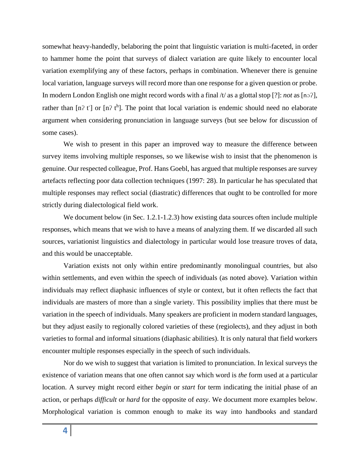somewhat heavy-handedly, belaboring the point that linguistic variation is multi-faceted, in order to hammer home the point that surveys of dialect variation are quite likely to encounter local variation exemplifying any of these factors, perhaps in combination. Whenever there is genuine local variation, language surveys will record more than one response for a given question or probe. In modern London English one might record words with a final /t/ as a glottal stop [?]: *not* as [nɔʔ], rather than  $[n^2 t]$  or  $[n^2 t^h]$ . The point that local variation is endemic should need no elaborate argument when considering pronunciation in language surveys (but see below for discussion of some cases).

We wish to present in this paper an improved way to measure the difference between survey items involving multiple responses, so we likewise wish to insist that the phenomenon is genuine. Our respected colleague, Prof. Hans Goebl, has argued that multiple responses are survey artefacts reflecting poor data collection techniques (1997: 28). In particular he has speculated that multiple responses may reflect social (diastratic) differences that ought to be controlled for more strictly during dialectological field work.

We document below (in Sec. 1.2.1-1.2.3) how existing data sources often include multiple responses, which means that we wish to have a means of analyzing them. If we discarded all such sources, variationist linguistics and dialectology in particular would lose treasure troves of data, and this would be unacceptable.

Variation exists not only within entire predominantly monolingual countries, but also within settlements, and even within the speech of individuals (as noted above). Variation within individuals may reflect diaphasic influences of style or context, but it often reflects the fact that individuals are masters of more than a single variety. This possibility implies that there must be variation in the speech of individuals. Many speakers are proficient in modern standard languages, but they adjust easily to regionally colored varieties of these (regiolects), and they adjust in both varieties to formal and informal situations (diaphasic abilities). It is only natural that field workers encounter multiple responses especially in the speech of such individuals.

Nor do we wish to suggest that variation is limited to pronunciation. In lexical surveys the existence of variation means that one often cannot say which word is *the* form used at a particular location. A survey might record either *begin* or *start* for term indicating the initial phase of an action, or perhaps *difficult* or *hard* for the opposite of *easy*. We document more examples below. Morphological variation is common enough to make its way into handbooks and standard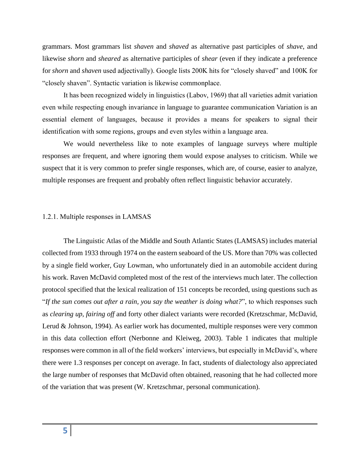grammars. Most grammars list *shaven* and *shaved* as alternative past participles of *shave*, and likewise *shorn* and *sheared* as alternative participles of *shear* (even if they indicate a preference for *shorn* and *shaven* used adjectivally). Google lists 200K hits for "closely shaved" and 100K for "closely shaven". Syntactic variation is likewise commonplace.

It has been recognized widely in linguistics (Labov, 1969) that all varieties admit variation even while respecting enough invariance in language to guarantee communication Variation is an essential element of languages, because it provides a means for speakers to signal their identification with some regions, groups and even styles within a language area.

We would nevertheless like to note examples of language surveys where multiple responses are frequent, and where ignoring them would expose analyses to criticism. While we suspect that it is very common to prefer single responses, which are, of course, easier to analyze, multiple responses are frequent and probably often reflect linguistic behavior accurately.

## 1.2.1. Multiple responses in LAMSAS

The Linguistic Atlas of the Middle and South Atlantic States (LAMSAS) includes material collected from 1933 through 1974 on the eastern seaboard of the US. More than 70% was collected by a single field worker, Guy Lowman, who unfortunately died in an automobile accident during his work. Raven McDavid completed most of the rest of the interviews much later. The collection protocol specified that the lexical realization of 151 concepts be recorded, using questions such as "*If the sun comes out after a rain, you say the weather is doing what?*", to which responses such as *clearing up*, *fairing off* and forty other dialect variants were recorded (Kretzschmar, McDavid, Lerud & Johnson, 1994). As earlier work has documented, multiple responses were very common in this data collection effort (Nerbonne and Kleiweg, 2003). Table 1 indicates that multiple responses were common in all of the field workers' interviews, but especially in McDavid's, where there were 1.3 responses per concept on average. In fact, students of dialectology also appreciated the large number of responses that McDavid often obtained, reasoning that he had collected more of the variation that was present (W. Kretzschmar, personal communication).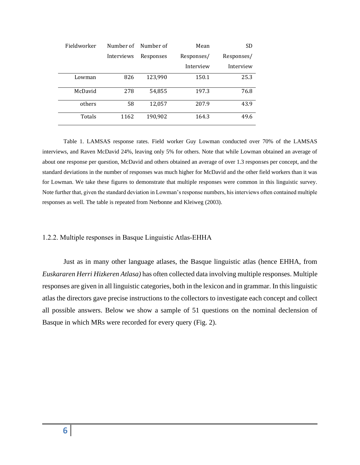| Fieldworker | Number of  | Number of | Mean       | <b>SD</b>  |
|-------------|------------|-----------|------------|------------|
|             | Interviews | Responses | Responses/ | Responses/ |
|             |            |           | Interview  | Interview  |
| Lowman      | 826        | 123,990   | 150.1      | 25.3       |
| McDavid     | 278        | 54,855    | 197.3      | 76.8       |
| others      | 58         | 12,057    | 207.9      | 43.9       |
| Totals      | 1162       | 190,902   | 164.3      | 49.6       |

Table 1. LAMSAS response rates. Field worker Guy Lowman conducted over 70% of the LAMSAS interviews, and Raven McDavid 24%, leaving only 5% for others. Note that while Lowman obtained an average of about one response per question, McDavid and others obtained an average of over 1.3 responses per concept, and the standard deviations in the number of responses was much higher for McDavid and the other field workers than it was for Lowman. We take these figures to demonstrate that multiple responses were common in this linguistic survey. Note further that, given the standard deviation in Lowman's response numbers, his interviews often contained multiple responses as well. The table is repeated from Nerbonne and Kleiweg (2003).

#### 1.2.2. Multiple responses in Basque Linguistic Atlas-EHHA

Just as in many other language atlases, the Basque linguistic atlas (hence EHHA, from *Euskararen Herri Hizkeren Atlasa)* has often collected data involving multiple responses. Multiple responses are given in all linguistic categories, both in the lexicon and in grammar. In this linguistic atlas the directors gave precise instructions to the collectors to investigate each concept and collect all possible answers. Below we show a sample of 51 questions on the nominal declension of Basque in which MRs were recorded for every query (Fig. 2).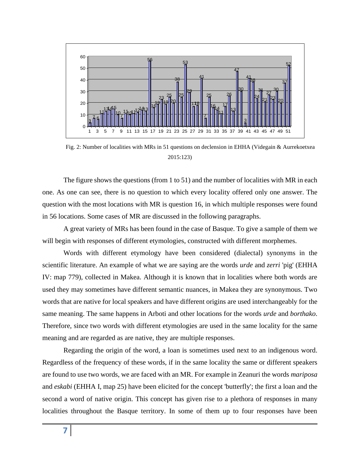

Fig. 2: Number of localities with MRs in 51 questions on declension in EHHA (Videgain & Aurrekoetxea 2015:123)

The figure shows the questions (from 1 to 51) and the number of localities with MR in each one. As one can see, there is no question to which every locality offered only one answer. The question with the most locations with MR is question 16, in which multiple responses were found in 56 locations. Some cases of MR are discussed in the following paragraphs.

A great variety of MRs has been found in the case of Basque. To give a sample of them we will begin with responses of different etymologies, constructed with different morphemes.

Words with different etymology have been considered (dialectal) synonyms in the scientific literature. An example of what we are saying are the words *urde* and *zerri* 'pig' (EHHA IV: map 779), collected in Makea. Although it is known that in localities where both words are used they may sometimes have different semantic nuances, in Makea they are synonymous. Two words that are native for local speakers and have different origins are used interchangeably for the same meaning. The same happens in Arboti and other locations for the words *urde* and *borthako*. Therefore, since two words with different etymologies are used in the same locality for the same meaning and are regarded as are native, they are multiple responses.

Regarding the origin of the word, a loan is sometimes used next to an indigenous word. Regardless of the frequency of these words, if in the same locality the same or different speakers are found to use two words, we are faced with an MR. For example in Zeanuri the words *mariposa* and *eskabi* (EHHA I, map 25) have been elicited for the concept 'butterfly'; the first a loan and the second a word of native origin. This concept has given rise to a plethora of responses in many localities throughout the Basque territory. In some of them up to four responses have been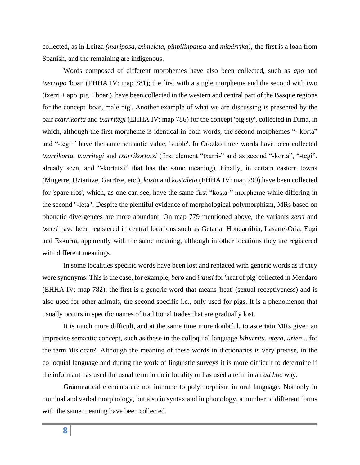collected, as in Leitza *(mariposa, tximeleta, pinpilinpausa* and *mitxirrika);* the first is a loan from Spanish, and the remaining are indigenous.

Words composed of different morphemes have also been collected, such as *apo* and *txerrapo* 'boar' (EHHA IV: map 781); the first with a single morpheme and the second with two  $(txerri + apo' pig + boar')$ , have been collected in the western and central part of the Basque regions for the concept 'boar, male pig'. Another example of what we are discussing is presented by the pair *txarrikorta* and *txarritegi* (EHHA IV: map 786) for the concept 'pig sty', collected in Dima, in which, although the first morpheme is identical in both words, the second morphemes "- korta" and "-tegi " have the same semantic value, 'stable'. In Orozko three words have been collected *txarrikorta, txarritegi* and *txarrikortatxi* (first element "txarri-" and as second "-korta", "-tegi", already seen, and "-kortatxi" that has the same meaning). Finally, in certain eastern towns (Mugerre, Uztaritze, Garrüze, etc.), *kosta* and *kostaleta* (EHHA IV: map 799) have been collected for 'spare ribs', which, as one can see, have the same first "kosta-" morpheme while differing in the second "-leta". Despite the plentiful evidence of morphological polymorphism, MRs based on phonetic divergences are more abundant. On map 779 mentioned above, the variants *zerri* and *txerri* have been registered in central locations such as Getaria, Hondarribia, Lasarte-Oria, Eugi and Ezkurra, apparently with the same meaning, although in other locations they are registered with different meanings.

In some localities specific words have been lost and replaced with generic words as if they were synonyms. This is the case, for example, *bero* and *irausi* for 'heat of pig' collected in Mendaro (EHHA IV: map 782): the first is a generic word that means 'heat' (sexual receptiveness) and is also used for other animals, the second specific i.e., only used for pigs. It is a phenomenon that usually occurs in specific names of traditional trades that are gradually lost.

It is much more difficult, and at the same time more doubtful, to ascertain MRs given an imprecise semantic concept, such as those in the colloquial language *bihurritu, atera, urten*... for the term 'dislocate'. Although the meaning of these words in dictionaries is very precise, in the colloquial language and during the work of linguistic surveys it is more difficult to determine if the informant has used the usual term in their locality or has used a term in an *ad hoc* way.

Grammatical elements are not immune to polymorphism in oral language. Not only in nominal and verbal morphology, but also in syntax and in phonology, a number of different forms with the same meaning have been collected.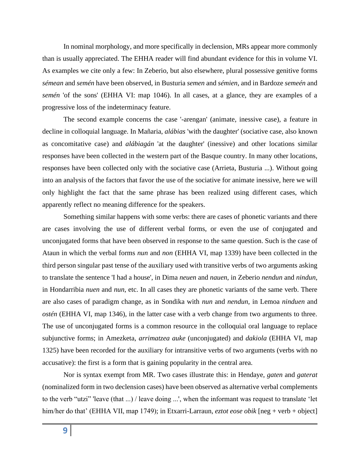In nominal morphology, and more specifically in declension, MRs appear more commonly than is usually appreciated. The EHHA reader will find abundant evidence for this in volume VI. As examples we cite only a few: In Zeberio, but also elsewhere, plural possessive genitive forms *sémean* and *semén* have been observed, in Busturia *semen* and *sémien*, and in Bardoze *semeén* and *semén* 'of the sons' (EHHA VI: map 1046). In all cases, at a glance, they are examples of a progressive loss of the indeterminacy feature.

The second example concerns the case '-arengan' (animate, inessive case), a feature in decline in colloquial language. In Mañaria, *alábias* 'with the daughter' (sociative case, also known as concomitative case) and *alábiagán* 'at the daughter' (inessive) and other locations similar responses have been collected in the western part of the Basque country. In many other locations, responses have been collected only with the sociative case (Arrieta, Busturia ...). Without going into an analysis of the factors that favor the use of the sociative for animate inessive, here we will only highlight the fact that the same phrase has been realized using different cases, which apparently reflect no meaning difference for the speakers.

Something similar happens with some verbs: there are cases of phonetic variants and there are cases involving the use of different verbal forms, or even the use of conjugated and unconjugated forms that have been observed in response to the same question. Such is the case of Ataun in which the verbal forms *nun* and *non* (EHHA VI, map 1339) have been collected in the third person singular past tense of the auxiliary used with transitive verbs of two arguments asking to translate the sentence 'I had a house', in Dima *neuen* and *nauen*, in Zeberio *nendun* and *nindun*, in Hondarribia *nuen* and *nun*, etc. In all cases they are phonetic variants of the same verb. There are also cases of paradigm change, as in Sondika with *nun* and *nendun*, in Lemoa *ninduen* and *ostén* (EHHA VI, map 1346), in the latter case with a verb change from two arguments to three. The use of unconjugated forms is a common resource in the colloquial oral language to replace subjunctive forms; in Amezketa, *arrimatzea auke* (unconjugated) and *dakiola* (EHHA VI, map 1325) have been recorded for the auxiliary for intransitive verbs of two arguments (verbs with no accusative): the first is a form that is gaining popularity in the central area.

Nor is syntax exempt from MR. Two cases illustrate this: in Hendaye, *gaten* and *gaterat* (nominalized form in two declension cases) have been observed as alternative verbal complements to the verb "utzi" 'leave (that ...) / leave doing ...', when the informant was request to translate 'let him/her do that' (EHHA VII, map 1749); in Etxarri-Larraun, *eztot eose obik* [neg + verb + object]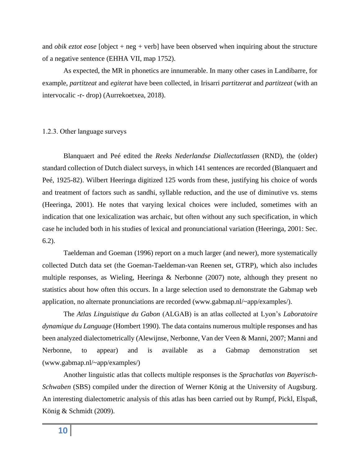and *obik eztot eose* [object + neg + verb] have been observed when inquiring about the structure of a negative sentence (EHHA VII, map 1752).

As expected, the MR in phonetics are innumerable. In many other cases in Landibarre, for example, *partitzeat* and *egiterat* have been collected, in Irisarri *partitzerat* and *partitzeat* (with an intervocalic -r- drop) (Aurrekoetxea, 2018).

#### 1.2.3. Other language surveys

Blanquaert and Peé edited the *Reeks Nederlandse Diallectatlassen* (RND), the (older) standard collection of Dutch dialect surveys, in which 141 sentences are recorded (Blanquaert and Peé, 1925-82). Wilbert Heeringa digitized 125 words from these, justifying his choice of words and treatment of factors such as sandhi, syllable reduction, and the use of diminutive vs. stems (Heeringa, 2001). He notes that varying lexical choices were included, sometimes with an indication that one lexicalization was archaic, but often without any such specification, in which case he included both in his studies of lexical and pronunciational variation (Heeringa, 2001: Sec. 6.2).

Taeldeman and Goeman (1996) report on a much larger (and newer), more systematically collected Dutch data set (the Goeman-Taeldeman-van Reenen set, GTRP), which also includes multiple responses, as Wieling, Heeringa & Nerbonne (2007) note, although they present no statistics about how often this occurs. In a large selection used to demonstrate the Gabmap web application, no alternate pronunciations are recorded (www.gabmap.nl/~app/examples/).

The *Atlas Linguistique du Gabon* (ALGAB) is an atlas collected at Lyon's *Laboratoire dynamique du Language* (Hombert 1990). The data contains numerous multiple responses and has been analyzed dialectometrically (Alewijnse, Nerbonne, Van der Veen & Manni, 2007; Manni and Nerbonne, to appear) and is available as a Gabmap demonstration set (www.gabmap.nl/~app/examples/)

Another linguistic atlas that collects multiple responses is the *Sprachatlas von Bayerisch-Schwaben* (SBS) compiled under the direction of Werner König at the University of Augsburg. An interesting dialectometric analysis of this atlas has been carried out by Rumpf, Pickl, Elspaß, König & Schmidt (2009).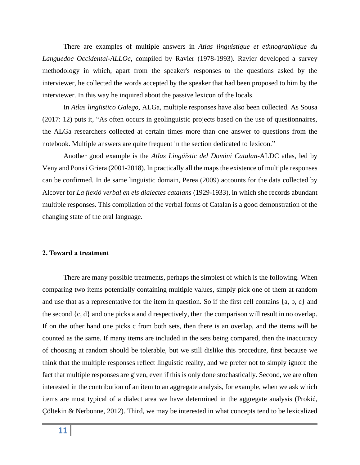There are examples of multiple answers in *Atlas linguistique et ethnographique du Languedoc Occidental-ALLOc,* compiled by Ravier (1978-1993). Ravier developed a survey methodology in which, apart from the speaker's responses to the questions asked by the interviewer, he collected the words accepted by the speaker that had been proposed to him by the interviewer. In this way he inquired about the passive lexicon of the locals.

In *Atlas lingïistico Galego,* ALGa, multiple responses have also been collected. As Sousa (2017: 12) puts it, "As often occurs in geolinguistic projects based on the use of questionnaires, the ALGa researchers collected at certain times more than one answer to questions from the notebook. Multiple answers are quite frequent in the section dedicated to lexicon."

Another good example is the *Atlas Lingüístic del Domini Catalan-*ALDC atlas, led by Veny and Pons i Griera (2001-2018). In practically all the maps the existence of multiple responses can be confirmed. In de same linguistic domain, Perea (2009) accounts for the data collected by Alcover for *La flexió verbal en els dialectes catalans* (1929-1933), in which she records abundant multiple responses. This compilation of the verbal forms of Catalan is a good demonstration of the changing state of the oral language.

#### **2. Toward a treatment**

There are many possible treatments, perhaps the simplest of which is the following. When comparing two items potentially containing multiple values, simply pick one of them at random and use that as a representative for the item in question. So if the first cell contains {a, b, c} and the second {c, d} and one picks a and d respectively, then the comparison will result in no overlap. If on the other hand one picks c from both sets, then there is an overlap, and the items will be counted as the same. If many items are included in the sets being compared, then the inaccuracy of choosing at random should be tolerable, but we still dislike this procedure, first because we think that the multiple responses reflect linguistic reality, and we prefer not to simply ignore the fact that multiple responses are given, even if this is only done stochastically. Second, we are often interested in the contribution of an item to an aggregate analysis, for example, when we ask which items are most typical of a dialect area we have determined in the aggregate analysis (Prokić, Çöltekin & Nerbonne, 2012). Third, we may be interested in what concepts tend to be lexicalized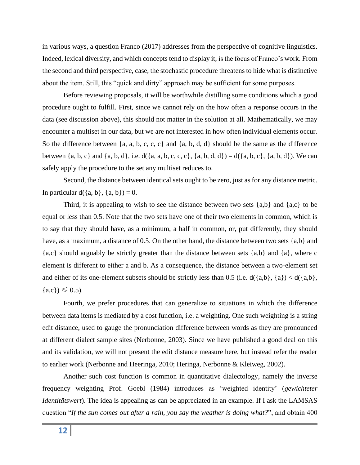in various ways, a question Franco (2017) addresses from the perspective of cognitive linguistics. Indeed, lexical diversity, and which concepts tend to display it, is the focus of Franco's work. From the second and third perspective, case, the stochastic procedure threatens to hide what is distinctive about the item. Still, this "quick and dirty" approach may be sufficient for some purposes.

Before reviewing proposals, it will be worthwhile distilling some conditions which a good procedure ought to fulfill. First, since we cannot rely on the how often a response occurs in the data (see discussion above), this should not matter in the solution at all. Mathematically, we may encounter a multiset in our data, but we are not interested in how often individual elements occur. So the difference between  $\{a, a, b, c, c, c\}$  and  $\{a, b, d, d\}$  should be the same as the difference between  $\{a, b, c\}$  and  $\{a, b, d\}$ , i.e.  $d(\{a, a, b, c, c, c\}, \{a, b, d, d\}) = d(\{a, b, c\}, \{a, b, d\})$ . We can safely apply the procedure to the set any multiset reduces to.

Second, the distance between identical sets ought to be zero, just as for any distance metric. In particular  $d({a, b}, {a, b}) = 0$ .

Third, it is appealing to wish to see the distance between two sets  $\{a,b\}$  and  $\{a,c\}$  to be equal or less than 0.5. Note that the two sets have one of their two elements in common, which is to say that they should have, as a minimum, a half in common, or, put differently, they should have, as a maximum, a distance of 0.5. On the other hand, the distance between two sets  $\{a,b\}$  and {a,c} should arguably be strictly greater than the distance between sets {a,b} and {a}, where c element is different to either a and b. As a consequence, the distance between a two-element set and either of its one-element subsets should be strictly less than 0.5 (i.e.  $d({a,b}, {a}) < d({a,b},$  ${a,c} \geq 0.5$ .

Fourth, we prefer procedures that can generalize to situations in which the difference between data items is mediated by a cost function, i.e. a weighting. One such weighting is a string edit distance, used to gauge the pronunciation difference between words as they are pronounced at different dialect sample sites (Nerbonne, 2003). Since we have published a good deal on this and its validation, we will not present the edit distance measure here, but instead refer the reader to earlier work (Nerbonne and Heeringa, 2010; Heringa, Nerbonne & Kleiweg, 2002).

Another such cost function is common in quantitative dialectology, namely the inverse frequency weighting Prof. Goebl (1984) introduces as 'weighted identity' (*gewichteter Identitätswert*). The idea is appealing as can be appreciated in an example. If I ask the LAMSAS question "*If the sun comes out after a rain, you say the weather is doing what?*", and obtain 400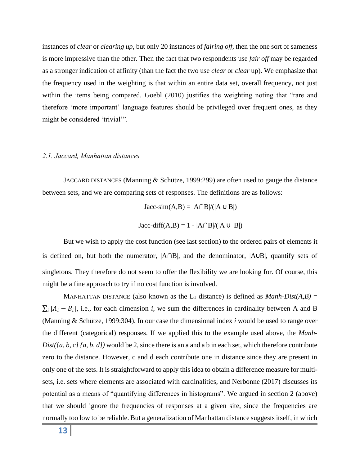instances of *clear* or *clearing up*, but only 20 instances of *fairing off,* then the one sort of sameness is more impressive than the other. Then the fact that two respondents use *fair off* may be regarded as a stronger indication of affinity (than the fact the two use *clear* or *clear* up). We emphasize that the frequency used in the weighting is that within an entire data set, overall frequency, not just within the items being compared. Goebl (2010) justifies the weighting noting that "rare and therefore 'more important' language features should be privileged over frequent ones, as they might be considered 'trivial'".

#### *2.1. Jaccard, Manhattan distances*

JACCARD DISTANCES (Manning & Schütze, 1999:299) are often used to gauge the distance between sets, and we are comparing sets of responses. The definitions are as follows:

 $Jacc-sim(A,B) = |A \cap B|/(|A \cup B|)$ 

$$
Jacc\text{-diff}(A,B) = 1 - |A \cap B|/(|A \cup B|)
$$

But we wish to apply the cost function (see last section) to the ordered pairs of elements it is defined on, but both the numerator, |A∩B|, and the denominator, |A∪B|, quantify sets of singletons. They therefore do not seem to offer the flexibility we are looking for. Of course, this might be a fine approach to try if no cost function is involved.

MANHATTAN DISTANCE (also known as the  $L_1$  distance) is defined as *Manh-Dist(A,B)* =  $\sum_i |A_i - B_i|$ , i.e., for each dimension *i*, we sum the differences in cardinality between A and B (Manning & Schütze, 1999:304). In our case the dimensional index *i* would be used to range over the different (categorical) responses. If we applied this to the example used above, the *Manh-Dist({a, b, c} {a, b, d})* would be 2, since there is an a and a b in each set, which therefore contribute zero to the distance. However, c and d each contribute one in distance since they are present in only one of the sets. It is straightforward to apply this idea to obtain a difference measure for multisets, i.e. sets where elements are associated with cardinalities, and Nerbonne (2017) discusses its potential as a means of "quantifying differences in histograms". We argued in section 2 (above) that we should ignore the frequencies of responses at a given site, since the frequencies are normally too low to be reliable. But a generalization of Manhattan distance suggests itself, in which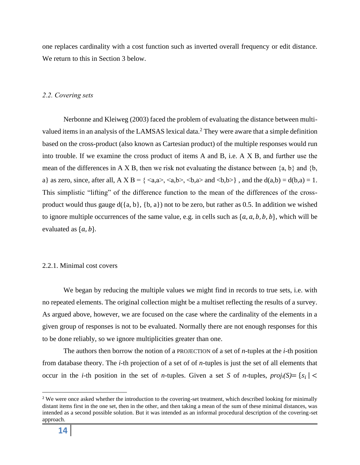one replaces cardinality with a cost function such as inverted overall frequency or edit distance. We return to this in Section 3 below.

## *2.2. Covering sets*

Nerbonne and Kleiweg (2003) faced the problem of evaluating the distance between multivalued items in an analysis of the LAMSAS lexical data.<sup>2</sup> They were aware that a simple definition based on the cross-product (also known as Cartesian product) of the multiple responses would run into trouble. If we examine the cross product of items A and B, i.e. A Χ B, and further use the mean of the differences in A X B, then we risk not evaluating the distance between  $\{a, b\}$  and  $\{b, \}$ a} as zero, since, after all,  $A \times B = \{ \langle a, a \rangle, \langle a, b \rangle, \langle b, a \rangle \}$ , and the  $d(a,b) = d(b,a) = 1$ . This simplistic "lifting" of the difference function to the mean of the differences of the crossproduct would thus gauge  $d({a, b}, {b, a})$  not to be zero, but rather as 0.5. In addition we wished to ignore multiple occurrences of the same value, e.g. in cells such as  $\{a, a, b, b, b\}$ , which will be evaluated as  $\{a, b\}$ .

#### 2.2.1. Minimal cost covers

We began by reducing the multiple values we might find in records to true sets, i.e. with no repeated elements. The original collection might be a multiset reflecting the results of a survey. As argued above, however, we are focused on the case where the cardinality of the elements in a given group of responses is not to be evaluated. Normally there are not enough responses for this to be done reliably, so we ignore multiplicities greater than one.

The authors then borrow the notion of a PROJECTION of a set of *n*-tuples at the *i*-th position from database theory. The *i*-th projection of a set of of *n*-tuples is just the set of all elements that occur in the *i*-th position in the set of *n*-tuples. Given a set *S* of *n*-tuples,  $proj_i(S) = \{s_i |$ 

<sup>&</sup>lt;sup>2</sup> We were once asked whether the introduction to the covering-set treatment, which described looking for minimally distant items first in the one set, then in the other, and then taking a mean of the sum of these minimal distances, was intended as a second possible solution. But it was intended as an informal procedural description of the covering-set approach.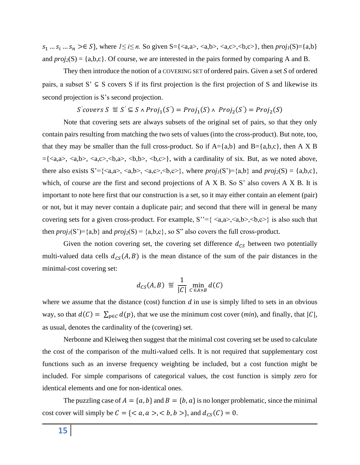$s_1$  ...  $s_i$  ...  $s_n$  >∈ *S*}, where *1≤ i≤ n*. So given *S*={<a,a>, <a,b>, <a,c>, <br/>b,c>}, then  $proj_1(S) = \{a,b\}$ and  $proj_2(S) = \{a,b,c\}$ . Of course, we are interested in the pairs formed by comparing A and B.

They then introduce the notion of a COVERING SET of ordered pairs. Given a set *S* of ordered pairs, a subset  $S' \subseteq S$  covers S if its first projection is the first projection of S and likewise its second projection is S's second projection.

 $S$ 'covers  $S \stackrel{\text{def}}{=} S' \subseteq S \land Proj_1(S') = Proj_1(S) \land Proj_2(S') = Proj_2(S)$ 

Note that covering sets are always subsets of the original set of pairs, so that they only contain pairs resulting from matching the two sets of values (into the cross-product). But note, too, that they may be smaller than the full cross-product. So if  $A = \{a,b\}$  and  $B = \{a,b,c\}$ , then A X B  $=\{\langle a,a\rangle,\langle a,b\rangle,\langle a,c\rangle,\langle b,a\rangle,\langle b,b\rangle,\langle b,c\rangle\}$ , with a cardinality of six. But, as we noted above, there also exists S'={ $\langle a, a \rangle$ ,  $\langle a, b \rangle$ ,  $\langle a, c \rangle$ ,  $\langle b, c \rangle$ }, where  $proj_1(S') = \{a, b\}$  and  $proj_2(S) = \{a, b, c\}$ , which, of course are the first and second projections of A X B. So S' also covers A X B. It is important to note here first that our construction is a set, so it may either contain an element (pair) or not, but it may never contain a duplicate pair; and second that there will in general be many covering sets for a given cross-product. For example,  $S^{\prime} = \{ \langle a, a \rangle, \langle a, b \rangle, \langle b, c \rangle \}$  is also such that then  $proj_1(S') = \{a,b\}$  and  $proj_2(S) = \{a,b,c\}$ , so S" also covers the full cross-product.

Given the notion covering set, the covering set difference  $d_{CS}$  between two potentially multi-valued data cells  $d_{CS}(A, B)$  is the mean distance of the sum of the pair distances in the minimal-cost covering set:

$$
d_{CS}(A,B) \stackrel{\text{\tiny def}}{=} \frac{1}{|C|} \min_{C \in A \times B} d(C)
$$

where we assume that the distance (cost) function  $d$  in use is simply lifted to sets in an obvious way, so that  $d(C) = \sum_{p \in C} d(p)$ , that we use the minimum cost cover (*min*), and finally, that  $|C|$ , as usual, denotes the cardinality of the (covering) set.

Nerbonne and Kleiweg then suggest that the minimal cost covering set be used to calculate the cost of the comparison of the multi-valued cells. It is not required that supplementary cost functions such as an inverse frequency weighting be included, but a cost function might be included. For simple comparisons of categorical values, the cost function is simply zero for identical elements and one for non-identical ones.

The puzzling case of  $A = \{a, b\}$  and  $B = \{b, a\}$  is no longer problematic, since the minimal cost cover will simply be  $C = \{ \langle a, a \rangle, \langle b, b \rangle \}$ , and  $d_{CS}(C) = 0$ .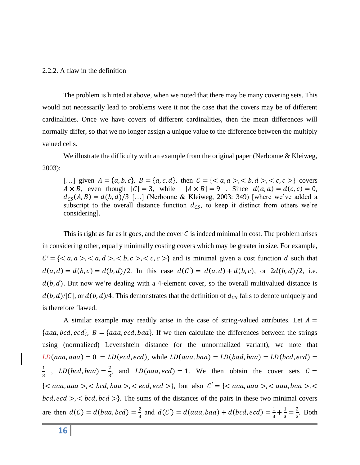#### 2.2.2. A flaw in the definition

The problem is hinted at above, when we noted that there may be many covering sets. This would not necessarily lead to problems were it not the case that the covers may be of different cardinalities. Once we have covers of different cardinalities, then the mean differences will normally differ, so that we no longer assign a unique value to the difference between the multiply valued cells.

We illustrate the difficulty with an example from the original paper (Nerbonne & Kleiweg, 2003):

[...] given  $A = \{a, b, c\}$ ,  $B = \{a, c, d\}$ , then  $C = \{, **b**, d>, **c**, c, **c**>\}$  covers  $A \times B$ , even though  $|C| = 3$ , while  $|A \times B| = 9$ . Since  $d(a, a) = d(c, c) = 0$ ,  $d_{CS}(A, B) = d(b, d)/3$  [...] (Nerbonne & Kleiweg, 2003: 349) [where we've added a subscript to the overall distance function  $d_{CS}$ , to keep it distinct from others we're considering].

This is right as far as it goes, and the cover C is indeed minimal in cost. The problem arises in considering other, equally minimally costing covers which may be greater in size. For example,  $C' = \{ , , d>, \*\*, c>, c>, c>} \}\*\*$  and is minimal given a cost function d such that  $d(a, d) = d(b, c) = d(b, d)/2$ . In this case  $d(C') = d(a, d) + d(b, c)$ , or  $2d(b, d)/2$ , i.e.  $d(b, d)$ . But now we're dealing with a 4-element cover, so the overall multivalued distance is  $d(b, d)/|C|$ , or  $d(b, d)/4$ . This demonstrates that the definition of  $d_{CS}$  fails to denote uniquely and is therefore flawed.

A similar example may readily arise in the case of string-valued attributes. Let  $A =$ {*aaa, bcd, ecd*},  $B = \{aaa, ecd, baa\}$ . If we then calculate the differences between the strings using (normalized) Levenshtein distance (or the unnormalized variant), we note that  $LD(aaa, aaa) = 0 = LD(ecd, ecd),$  while  $LD(aaa, baa) = LD(bad, baa) = LD(bcd, ecd)$ 1  $rac{1}{3}$ , LD(bcd, baa) =  $rac{2}{3}$  $\frac{2}{3}$ , and  $LD(aaa, ecd) = 1$ . We then obtain the cover sets  $C =$  $\{, ,  \}$ , but also  $C' = \{, , <$  $bcd, ecd > c$ ,  $ed, bcd >$ . The sums of the distances of the pairs in these two minimal covers are then  $d(C) = d(baa, bcd) = \frac{2}{3}$  $\frac{2}{3}$  and  $d(C') = d(aaa, baa) + d(bcd, ecd) = \frac{1}{3}$  $\frac{1}{3} + \frac{1}{3}$  $\frac{1}{3} = \frac{2}{3}$  $\frac{2}{3}$ . Both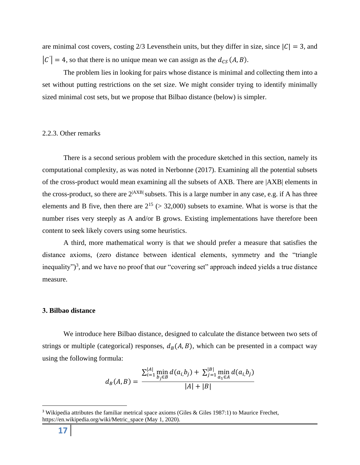are minimal cost covers, costing 2/3 Levensthein units, but they differ in size, since  $|C| = 3$ , and  $|C'| = 4$ , so that there is no unique mean we can assign as the  $d_{CS}(A, B)$ .

The problem lies in looking for pairs whose distance is minimal and collecting them into a set without putting restrictions on the set size. We might consider trying to identify minimally sized minimal cost sets, but we propose that Bilbao distance (below) is simpler.

#### 2.2.3. Other remarks

There is a second serious problem with the procedure sketched in this section, namely its computational complexity, as was noted in Nerbonne (2017). Examining all the potential subsets of the cross-product would mean examining all the subsets of AXB. There are |AXB| elements in the cross-product, so there are  $2^{|AXB|}$  subsets. This is a large number in any case, e.g. if A has three elements and B five, then there are  $2^{15}$  (> 32,000) subsets to examine. What is worse is that the number rises very steeply as A and/or B grows. Existing implementations have therefore been content to seek likely covers using some heuristics.

A third, more mathematical worry is that we should prefer a measure that satisfies the distance axioms, (zero distance between identical elements, symmetry and the "triangle inequality")<sup>3</sup>, and we have no proof that our "covering set" approach indeed yields a true distance measure.

#### **3. Bilbao distance**

We introduce here Bilbao distance, designed to calculate the distance between two sets of strings or multiple (categorical) responses,  $d_B(A, B)$ , which can be presented in a compact way using the following formula:

$$
d_B(A, B) = \frac{\sum_{i=1}^{|A|} \min_{b_j \in B} d(a_i, b_j) + \sum_{j=1}^{|B|} \min_{a_1 \in A} d(a_i, b_j)}{|A| + |B|}
$$

<sup>&</sup>lt;sup>3</sup> Wikipedia attributes the familiar metrical space axioms (Giles & Giles 1987:1) to Maurice Frechet, https://en.wikipedia.org/wiki/Metric\_space (May 1, 2020).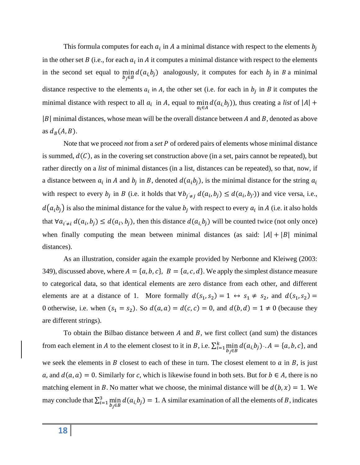This formula computes for each  $a_i$  in A a minimal distance with respect to the elements  $b_j$ in the other set  $B$  (i.e., for each  $a_i$  in  $A$  it computes a minimal distance with respect to the elements in the second set equal to min  $\min_{b_j \in B} d(a_i, b_j)$  analogously, it computes for each  $b_j$  in B a minimal distance respective to the elements  $a_i$  in A, the other set (i.e. for each in  $b_j$  in B it computes the minimal distance with respect to all  $a_i$  in A, equal to min  $\min_{a_i \in A} d(a_i, b_j)$ , thus creating a *list* of  $|A|$  +  $|B|$  minimal distances, whose mean will be the overall distance between A and B, denoted as above as  $d_B(A, B)$ .

Note that we proceed *not* from a *set* P of ordered pairs of elements whose minimal distance is summed,  $d(C)$ , as in the covering set construction above (in a set, pairs cannot be repeated), but rather directly on a *list* of minimal distances (in a list, distances can be repeated), so that, now, if a distance between  $a_i$  in A and  $b_j$  in B, denoted  $d(a_i b_j)$ , is the minimal distance for the string  $a_i$ with respect to every  $b_j$  in B (i.e. it holds that  $\forall b_{j \neq j} d(a_i, b_j) \leq d(a_i, b_{j'})$ ) and vice versa, i.e.,  $d(a_i b_j)$  is also the minimal distance for the value  $b_j$  with respect to every  $a_i$  in A (i.e. it also holds that  $∀a_{i' \neq i} d(a_i, b_j) ≤ d(a_{i'}, b_j)$ , then this distance  $d(a_i, b_j)$  will be counted twice (not only once) when finally computing the mean between minimal distances (as said:  $|A| + |B|$  minimal distances).

As an illustration, consider again the example provided by Nerbonne and Kleiweg (2003: 349), discussed above, where  $A = \{a, b, c\}$ ,  $B = \{a, c, d\}$ . We apply the simplest distance measure to categorical data, so that identical elements are zero distance from each other, and different elements are at a distance of 1. More formally  $d(s_1, s_2) = 1 \leftrightarrow s_1 \neq s_2$ , and  $d(s_1, s_2) =$ 0 otherwise, i.e. when  $(s_1 = s_2)$ . So  $d(a, a) = d(c, c) = 0$ , and  $d(b, d) = 1 \neq 0$  (because they are different strings).

To obtain the Bilbao distance between  $A$  and  $B$ , we first collect (and sum) the distances from each element in A to the element closest to it in B, i.e.  $\sum_{i=1}^{k} \min_{i=1}^{k}$  $_{i=1}^{k} \min_{b_j \in B} d(a_i, b_j) - A = \{a, b, c\}$ , and we seek the elements in  $B$  closest to each of these in turn. The closest element to  $\alpha$  in  $B$ , is just a, and  $d(a, a) = 0$ . Similarly for c, which is likewise found in both sets. But for  $b \in A$ , there is no matching element in B. No matter what we choose, the minimal distance will be  $d(b, x) = 1$ . We may conclude that  $\sum_{i=1}^{3}$  min  $\lim_{i=1}^{3} \min_{b_j \in B} d(a_i, b_j) = 1$ . A similar examination of all the elements of *B*, indicates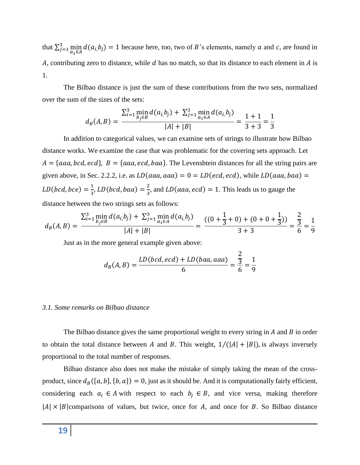that  $\sum_{j=1}^{3} \min_{a_1 \in A} d(a_i, b_j) = 1$  because here, too, two of *B*'s elements, namely *a* and *c*, are found in A, contributing zero to distance, while  $d$  has no match, so that its distance to each element in  $\vec{A}$  is 1.

The Bilbao distance is just the sum of these contributions from the two sets, normalized over the sum of the sizes of the sets:

$$
d_B(A, B) = \frac{\sum_{i=1}^{3} \min_{b_j \in B} d(a_i, b_j) + \sum_{j=1}^{3} \min_{a_1 \in A} d(a_i, b_j)}{|A| + |B|} = \frac{1+1}{3+3} = \frac{1}{3}
$$

In addition to categorical values, we can examine sets of strings to illustrate how Bilbao distance works. We examine the case that was problematic for the covering sets approach. Let  $A = \{aaa, bcd, ecd\}, B = \{aaa, ecd, baa\}.$  The Levenshtein distances for all the string pairs are given above, in Sec. 2.2.2, i.e. as  $LD(aaa, aaa) = 0 = LD(ecd, ecd)$ , while  $LD(aaa, baa) =$  $LD(bcd,bce) = \frac{1}{2}$  $\frac{1}{3}$ , LD(bcd, baa) =  $\frac{2}{3}$  $\frac{2}{3}$ , and *LD*(*aaa*, *ecd*) = 1. This leads us to gauge the distance between the two strings sets as follows:

$$
d_B(A,B) = \frac{\sum_{i=1}^3 \min_{b_j \in B} d(a_i, b_j) + \sum_{j=1}^3 \min_{a_i \in A} d(a_i, b_j)}{|A| + |B|} = \frac{((0 + \frac{1}{3} + 0) + (0 + 0 + \frac{1}{3}))}{3 + 3} = \frac{\frac{2}{3}}{6} = \frac{1}{9}
$$

Just as in the more general example given above:

$$
d_B(A, B) = \frac{LD(bcd, ecd) + LD(baa, aaa)}{6} = \frac{\frac{2}{3}}{6} = \frac{1}{9}
$$

#### *3.1. Some remarks on Bilbao distance*

The Bilbao distance gives the same proportional weight to every string in  $A$  and  $B$  in order to obtain the total distance between A and B. This weight,  $1/(|A| + |B|)$ , is always inversely proportional to the total number of responses.

Bilbao distance also does not make the mistake of simply taking the mean of the crossproduct, since  $d_B(\{a, b\}, \{b, a\}) = 0$ , just as it should be. And it is computationally fairly efficient, considering each  $a_i \in A$  with respect to each  $b_j \in B$ , and vice versa, making therefore  $|A| \times |B|$  comparisons of values, but twice, once for A, and once for B. So Bilbao distance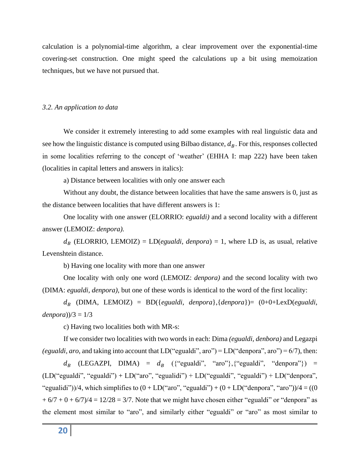calculation is a polynomial-time algorithm, a clear improvement over the exponential-time covering-set construction. One might speed the calculations up a bit using memoization techniques, but we have not pursued that.

# *3.2. An application to data*

We consider it extremely interesting to add some examples with real linguistic data and see how the linguistic distance is computed using Bilbao distance,  $d<sub>B</sub>$ . For this, responses collected in some localities referring to the concept of 'weather' (EHHA I: map 222) have been taken (localities in capital letters and answers in italics):

a) Distance between localities with only one answer each

Without any doubt, the distance between localities that have the same answers is 0, just as the distance between localities that have different answers is 1:

One locality with one answer (ELORRIO: *egualdi)* and a second locality with a different answer (LEMOIZ: *denpora).*

 $d_R$  (ELORRIO, LEMOIZ) = LD(*egualdi*, *denpora*) = 1, where LD is, as usual, relative Levenshtein distance.

b) Having one locality with more than one answer

One locality with only one word (LEMOIZ: *denpora)* and the second locality with two (DIMA: *egualdi*, *denpora)*, but one of these words is identical to the word of the first locality:

 (DIMA, LEMOIZ) = BD({*egualdi*, *denpora*},{*denpora*})= (0+0+LexD(*egualdi*, *denpora*))/3 =  $1/3$ 

c) Having two localities both with MR-s:

If we consider two localities with two words in each: Dima *(egualdi, denbora)* and Legazpi *(egualdi, aro, and taking into account that LD*("egualdi", aro") =  $LD$  ("denpora", aro") =  $6/7$ ), then:

 $d_B$  (LEGAZPI, DIMA) =  $d_B$  ({"egualdi", "aro"}, {"egualdi", "denpora"}) =  $(LD("equal di", "equal di") + LD("aro", "equalidi") + LD("equal di", "equal di") + LD("denpora",$ "egualidi"))/4, which simplifies to  $(0 + LD("aro", "equaldi") + (0 + LD("denpora", "aro"))/4 = ((0$  $+ 6/7 + 0 + 6/7$ )/4 = 12/28 = 3/7. Note that we might have chosen either "egualdi" or "denpora" as the element most similar to "aro", and similarly either "egualdi" or "aro" as most similar to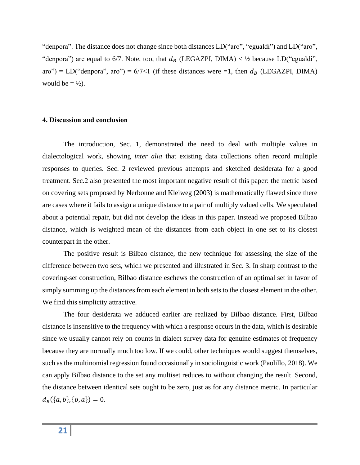"denpora". The distance does not change since both distances LD("aro", "egualdi") and LD("aro", "denpora") are equal to 6/7. Note, too, that  $d_B$  (LEGAZPI, DIMA) < 1/2 because LD("egualdi", aro") = LD("denpora", aro") =  $6/7$ <1 (if these distances were =1, then  $d_B$  (LEGAZPI, DIMA) would be  $= \frac{1}{2}$ .

#### **4. Discussion and conclusion**

The introduction, Sec. 1, demonstrated the need to deal with multiple values in dialectological work, showing *inter alia* that existing data collections often record multiple responses to queries. Sec. 2 reviewed previous attempts and sketched desiderata for a good treatment. Sec.2 also presented the most important negative result of this paper: the metric based on covering sets proposed by Nerbonne and Kleiweg (2003) is mathematically flawed since there are cases where it fails to assign a unique distance to a pair of multiply valued cells. We speculated about a potential repair, but did not develop the ideas in this paper. Instead we proposed Bilbao distance, which is weighted mean of the distances from each object in one set to its closest counterpart in the other.

The positive result is Bilbao distance, the new technique for assessing the size of the difference between two sets, which we presented and illustrated in Sec. 3. In sharp contrast to the covering-set construction, Bilbao distance eschews the construction of an optimal set in favor of simply summing up the distances from each element in both sets to the closest element in the other. We find this simplicity attractive.

The four desiderata we adduced earlier are realized by Bilbao distance. First, Bilbao distance is insensitive to the frequency with which a response occurs in the data, which is desirable since we usually cannot rely on counts in dialect survey data for genuine estimates of frequency because they are normally much too low. If we could, other techniques would suggest themselves, such as the multinomial regression found occasionally in sociolinguistic work (Paolillo, 2018). We can apply Bilbao distance to the set any multiset reduces to without changing the result. Second, the distance between identical sets ought to be zero, just as for any distance metric. In particular  $d_B({a, b}, {b, a}) = 0.$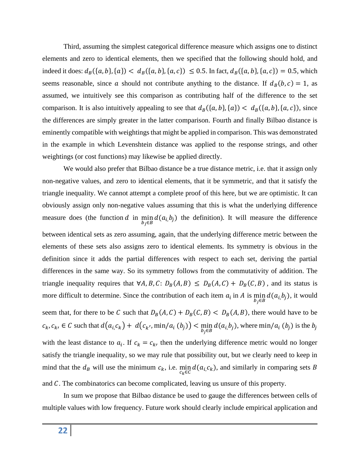Third, assuming the simplest categorical difference measure which assigns one to distinct elements and zero to identical elements, then we specified that the following should hold, and indeed it does:  $d_B(\{a, b\}, \{a\}) < d_B(\{a, b\}, \{a, c\}) \le 0.5$ . In fact,  $d_B(\{a, b\}, \{a, c\}) = 0.5$ , which seems reasonable, since a should not contribute anything to the distance. If  $d_B(b, c) = 1$ , as assumed, we intuitively see this comparison as contributing half of the difference to the set comparison. It is also intuitively appealing to see that  $d_B(\{a,b\},\{a\}) < d_B(\{a,b\},\{a,c\})$ , since the differences are simply greater in the latter comparison. Fourth and finally Bilbao distance is eminently compatible with weightings that might be applied in comparison. This was demonstrated in the example in which Levenshtein distance was applied to the response strings, and other weightings (or cost functions) may likewise be applied directly.

We would also prefer that Bilbao distance be a true distance metric, i.e. that it assign only non-negative values, and zero to identical elements, that it be symmetric, and that it satisfy the triangle inequality. We cannot attempt a complete proof of this here, but we are optimistic. It can obviously assign only non-negative values assuming that this is what the underlying difference measure does (the function  $d$  in min min  $d(a_i, b_j)$  the definition). It will measure the difference between identical sets as zero assuming, again, that the underlying difference metric between the elements of these sets also assigns zero to identical elements. Its symmetry is obvious in the definition since it adds the partial differences with respect to each set, deriving the partial differences in the same way. So its symmetry follows from the commutativity of addition. The triangle inequality requires that  $\forall A, B, C: D_B(A, B) \leq D_B(A, C) + D_B(C, B)$ , and its status is more difficult to determine. Since the contribution of each item  $a_i$  in A is min  $\min_{b_j \in B} d(a_{i_j} b_j)$ , it would seem that, for there to be C such that  $D_B(A, C) + D_B(C, B) < D_B(A, B)$ , there would have to be  $c_k, c_k, \in \mathcal{C}$  such that  $d(a_i, c_k) + d(c_{k'}, \min/a_i(b_j)) < \min_{b_j \in \mathcal{B}} d(a_i, b_j)$ , where  $\min/a_i(b_j)$  is the  $b_j$ with the least distance to  $a_i$ . If  $c_k = c_k$ , then the underlying difference metric would no longer satisfy the triangle inequality, so we may rule that possibility out, but we clearly need to keep in mind that the  $d_B$  will use the minimum  $c_k$ , i.e.  $\min_{c_k \in C} d(a_i, c_k)$ , and similarly in comparing sets B and  $C$ . The combinatorics can become complicated, leaving us unsure of this property.

In sum we propose that Bilbao distance be used to gauge the differences between cells of multiple values with low frequency. Future work should clearly include empirical application and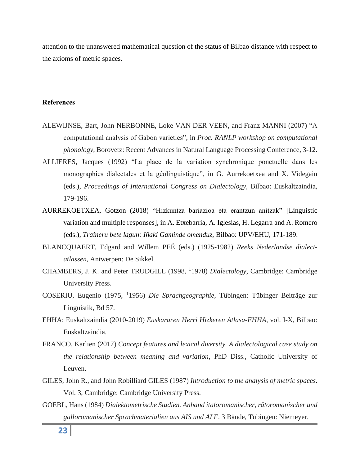attention to the unanswered mathematical question of the status of Bilbao distance with respect to the axioms of metric spaces.

## **References**

- ALEWIJNSE, Bart, John NERBONNE, Loke VAN DER VEEN, and Franz MANNI (2007) "A computational analysis of Gabon varieties", in *Proc. RANLP workshop on computational phonology*, Borovetz: Recent Advances in Natural Language Processing Conference, 3-12.
- ALLIERES, Jacques (1992) "La place de la variation synchronique ponctuelle dans les monographies dialectales et la géolinguistique", in G. Aurrekoetxea and X. Videgain (eds.), *Proceedings of International Congress on Dialectology,* Bilbao: Euskaltzaindia, 179-196.
- AURREKOETXEA, Gotzon (2018) "Hizkuntza bariazioa eta erantzun anitzak" [Linguistic variation and multiple responses], in A. Etxebarria, A. Iglesias, H. Legarra and A. Romero (eds.), *Traineru bete lagun: Iñaki Gaminde omenduz,* Bilbao: UPV/EHU, 171-189.
- BLANCQUAERT, Edgard and Willem PEÉ (eds.) (1925-1982) *Reeks Nederlandse dialectatlassen*, Antwerpen: De Sikkel.
- CHAMBERS, J. K. and Peter TRUDGILL (1998, <sup>1</sup>1978) *Dialectology*, Cambridge: Cambridge University Press.
- COSERIU, Eugenio (1975, <sup>1</sup> 1956) *Die Sprachgeographie*, Tübingen: Tübinger Beiträge zur Linguistik*,* Bd 57.
- EHHA: Euskaltzaindia (2010-2019) *Euskararen Herri Hizkeren Atlasa-EHHA,* vol. I-X, Bilbao: Euskaltzaindia.
- FRANCO, Karlien (2017) *Concept features and lexical diversity. A dialectological case study on the relationship between meaning and variation*, PhD Diss., Catholic University of Leuven.
- GILES, John R., and John Robilliard GILES (1987) *Introduction to the analysis of metric spaces*. Vol. 3, Cambridge: Cambridge University Press.
- GOEBL, Hans (1984) *Dialektometrische Studien. Anhand italoromanischer, rätoromanischer und galloromanischer Sprachmaterialien aus AIS und ALF*. 3 Bände, Tübingen: Niemeyer.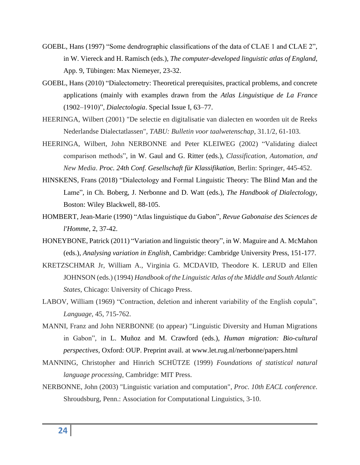- GOEBL, Hans (1997) "Some dendrographic classifications of the data of CLAE 1 and CLAE 2", in W. Viereck and H. Ramisch (eds.), *The computer-developed linguistic atlas of England*, App. 9, Tübingen: Max Niemeyer, 23-32.
- GOEBL, Hans (2010) "Dialectometry: Theoretical prerequisites, practical problems, and concrete applications (mainly with examples drawn from the *Atlas Linguistique de La France* (1902–1910)", *Dialectologia*. Special Issue I, 63–77.
- HEERINGA, Wilbert (2001) "De selectie en digitalisatie van dialecten en woorden uit de Reeks Nederlandse Dialectatlassen", *TABU: Bulletin voor taalwetenschap,* 31.1/2, 61-103.
- HEERINGA, Wilbert, John NERBONNE and Peter KLEIWEG (2002) "Validating dialect comparison methods", in W. Gaul and G. Ritter (eds.), *Classification, Automation, and New Media*. *Proc. 24th Conf. Gesellschaft für Klassifikation*, Berlin: Springer, 445-452.
- HINSKENS, Frans (2018) "Dialectology and Formal Linguistic Theory: The Blind Man and the Lame", in Ch. Boberg, J. Nerbonne and D. Watt (eds.), *The Handbook of Dialectology,* Boston: Wiley Blackwell, 88-105.
- HOMBERT, Jean-Marie (1990) "Atlas linguistique du Gabon", *Revue Gabonaise des Sciences de l'Homme,* 2, 37-42.
- HONEYBONE, Patrick (2011) "Variation and linguistic theory", in W. Maguire and A. McMahon (eds.), *Analysing variation in English*, Cambridge: Cambridge University Press, 151-177.
- KRETZSCHMAR Jr, William A., Virginia G. MCDAVID, Theodore K. LERUD and Ellen JOHNSON (eds.) (1994) *Handbook of the Linguistic Atlas of the Middle and South Atlantic States*, Chicago: University of Chicago Press.
- LABOV, William (1969) "Contraction, deletion and inherent variability of the English copula", *Language,* 45, 715-762.
- MANNI, Franz and John NERBONNE (to appear) "Linguistic Diversity and Human Migrations in Gabon", in L. Muñoz and M. Crawford (eds.), *Human migration: Bio-cultural perspectives*, Oxford: OUP. Preprint avail. at www.let.rug.nl/nerbonne/papers.html
- MANNING, Christopher and Hinrich SCHÜTZE (1999) *Foundations of statistical natural language processing*, Cambridge: MIT Press.
- NERBONNE, John (2003) "Linguistic variation and computation", *Proc. 10th EACL conference*. Shroudsburg, Penn.: Association for Computational Linguistics, 3-10.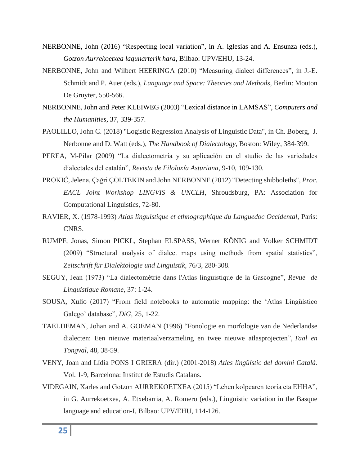- NERBONNE, John (2016) "Respecting local variation", in A. Iglesias and A. Ensunza (eds.), *Gotzon Aurrekoetxea lagunarterik hara,* Bilbao: UPV/EHU, 13-24.
- NERBONNE, John and Wilbert HEERINGA (2010) "Measuring dialect differences", in J.-E. Schmidt and P. Auer (eds.), *Language and Space: Theories and Methods,* Berlin: Mouton De Gruyter, 550-566.
- NERBONNE, John and Peter KLEIWEG (2003) "Lexical distance in LAMSAS", *Computers and the Humanities,* 37, 339-357.
- PAOLILLO, John C. (2018) "Logistic Regression Analysis of Linguistic Data", in Ch. Boberg, J. Nerbonne and D. Watt (eds.), *The Handbook of Dialectology*, Boston: Wiley, 384-399.
- PEREA, M-Pilar (2009) "La dialectometría y su aplicación en el studio de las variedades dialectales del catalán", *Revista de Filoloxía Asturiana,* 9-10, 109-130.
- PROKIĆ, Jelena, Çağri ÇÖLTEKIN and John NERBONNE (2012) "Detecting shibboleths", *Proc. EACL Joint Workshop LINGVIS & UNCLH*, Shroudsburg, PA: Association for Computational Linguistics, 72-80.
- RAVIER, X. (1978-1993) *Atlas linguistique et ethnographique du Languedoc Occidental,* Paris: CNRS.
- RUMPF, Jonas, Simon PICKL, Stephan ELSPASS, Werner KÖNIG and Volker SCHMIDT (2009) "Structural analysis of dialect maps using methods from spatial statistics", *Zeitschrift für Dialektologie und Linguistik,* 76/3, 280-308.
- SEGUY, Jean (1973) "La dialectométrie dans l'Atlas linguistique de la Gascogne", *Revue de Linguistique Romane,* 37: 1-24.
- SOUSA, Xulio (2017) "From field notebooks to automatic mapping: the 'Atlas Lingüístico Galego' database", *DiG,* 25, 1-22.
- TAELDEMAN, Johan and A. GOEMAN (1996) "Fonologie en morfologie van de Nederlandse dialecten: Een nieuwe materiaalverzameling en twee nieuwe atlasprojecten", *Taal en Tongval*, 48, 38-59.
- VENY, Joan and Lídia PONS I GRIERA (dir.) (2001-2018) *Atles lingüístic del domini Català.* Vol. 1-9, Barcelona: Institut de Estudis Catalans.
- VIDEGAIN, Xarles and Gotzon AURREKOETXEA (2015) "Lehen kolpearen teoria eta EHHA", in G. Aurrekoetxea, A. Etxebarria, A. Romero (eds.), Linguistic variation in the Basque language and education-I, Bilbao: UPV/EHU, 114-126.